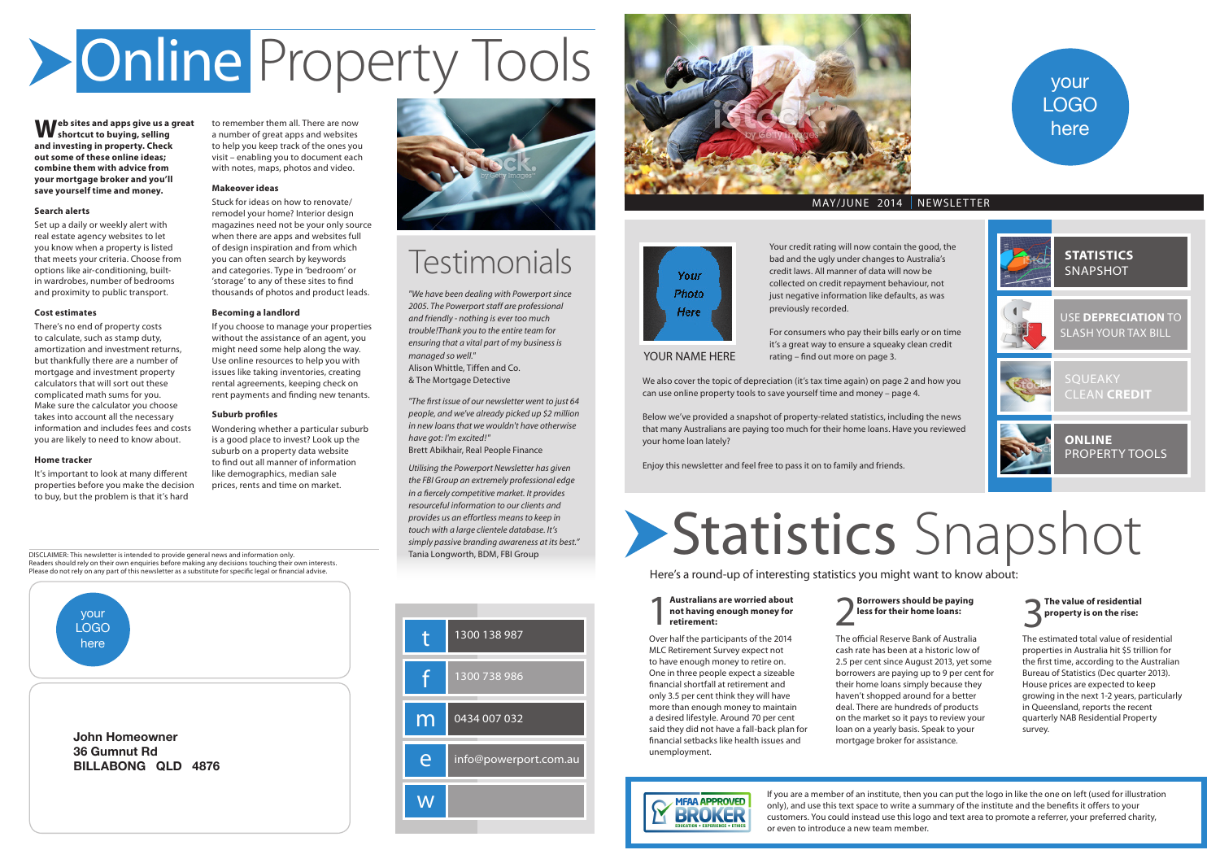Your credit rating will now contain the good, the bad and the ugly under changes to Australia's credit laws. All manner of data will now be collected on credit repayment behaviour, not just negative information like defaults, as was previously recorded.

For consumers who pay their bills early or on time it's a great way to ensure a squeaky clean credit rating – find out more on page 3.

We also cover the topic of depreciation (it's tax time again) on page 2 and how you can use online property tools to save yourself time and money – page 4.

Below we've provided a snapshot of property-related statistics, including the news that many Australians are paying too much for their home loans. Have you reviewed your home loan lately?

Enjoy this newsletter and feel free to pass it on to family and friends.

**Web sites and apps give us a great shortcut to buying, selling and investing in property. Check out some of these online ideas; combine them with advice from your mortgage broker and you'll save yourself time and money.**

## **Search alerts**

Set up a daily or weekly alert with real estate agency websites to let you know when a property is listed that meets your criteria. Choose from options like air-conditioning, builtin wardrobes, number of bedrooms and proximity to public transport.

## **Cost estimates**

There's no end of property costs to calculate, such as stamp duty, amortization and investment returns, but thankfully there are a number of mortgage and investment property calculators that will sort out these complicated math sums for you. Make sure the calculator you choose takes into account all the necessary information and includes fees and costs you are likely to need to know about.

## **Home tracker**

## 2 **Borrowers should be paying**<br> **less for their home loans:**  $\overline{\mathbf{3}}$



It's important to look at many different properties before you make the decision to buy, but the problem is that it's hard



### 1 **Australians are worried about not having enough money for retirement:**

to remember them all. There are now a number of great apps and websites to help you keep track of the ones you visit – enabling you to document each with notes, maps, photos and video.

## **Makeover ideas**

Stuck for ideas on how to renovate/ remodel your home? Interior design magazines need not be your only source when there are apps and websites full of design inspiration and from which you can often search by keywords and categories. Type in 'bedroom' or 'storage' to any of these sites to find thousands of photos and product leads.

## **Becoming a landlord**

If you choose to manage your properties without the assistance of an agent, you might need some help along the way. Use online resources to help you with issues like taking inventories, creating rental agreements, keeping check on rent payments and finding new tenants.

## **Suburb profiles**

Wondering whether a particular suburb is a good place to invest? Look up the suburb on a property data website to find out all manner of information like demographics, median sale prices, rents and time on market.



## **Testimonials**

# Online Property Tools

# Statistics Snapshot

Here's a round-up of interesting statistics you might want to know about:



Over half the participants of the 2014 MLC Retirement Survey expect not to have enough money to retire on. One in three people expect a sizeable financial shortfall at retirement and only 3.5 per cent think they will have more than enough money to maintain a desired lifestyle. Around 70 per cent said they did not have a fall-back plan for financial setbacks like health issues and unemployment.

The official Reserve Bank of Australia cash rate has been at a historic low of 2.5 per cent since August 2013, yet some borrowers are paying up to 9 per cent for their home loans simply because they haven't shopped around for a better deal. There are hundreds of products on the market so it pays to review your loan on a yearly basis. Speak to your mortgage broker for assistance.



The estimated total value of residential properties in Australia hit \$5 trillion for the first time, according to the Australian Bureau of Statistics (Dec quarter 2013). House prices are expected to keep growing in the next 1-2 years, particularly in Queensland, reports the recent quarterly NAB Residential Property survey.

If you are a member of an institute, then you can put the logo in like the one on left (used for illustration only), and use this text space to write a summary of the institute and the benefits it offers to your customers. You could instead use this logo and text area to promote a referrer, your preferred charity, or even to introduce a new team member.



YOUR NAME HERE

*"We have been dealing with Powerport since 2005. The Powerport staff are professional and friendly - nothing is ever too much trouble!Thank you to the entire team for ensuring that a vital part of my business is managed so well."*  Alison Whittle, Tiffen and Co. & The Mortgage Detective

*"The first issue of our newsletter went to just 64 people, and we've already picked up \$2 million in new loans that we wouldn't have otherwise have got: I'm excited!"*  Brett Abikhair, Real People Finance

*Utilising the Powerport Newsletter has given the FBI Group an extremely professional edge in a fiercely competitive market. It provides resourceful information to our clients and provides us an effortless means to keep in touch with a large clientele database. It's simply passive branding awareness at its best."* Tania Longworth, BDM, FBI Group







## MAY/JUNE 2014 NEWSLETTER